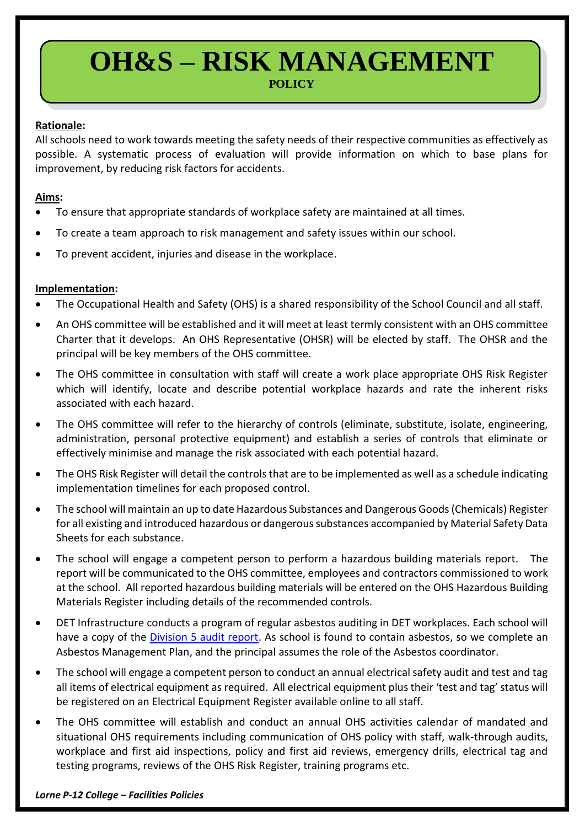# **OH&S – RISK MANAGEMENT POLICY**

## **Rationale:**

All schools need to work towards meeting the safety needs of their respective communities as effectively as possible. A systematic process of evaluation will provide information on which to base plans for improvement, by reducing risk factors for accidents.

## **Aims:**

- To ensure that appropriate standards of workplace safety are maintained at all times.
- To create a team approach to risk management and safety issues within our school.
- To prevent accident, injuries and disease in the workplace.

## **Implementation:**

- The Occupational Health and Safety (OHS) is a shared responsibility of the School Council and all staff.
- An OHS committee will be established and it will meet at least termly consistent with an OHS committee Charter that it develops. An OHS Representative (OHSR) will be elected by staff. The OHSR and the principal will be key members of the OHS committee.
- The OHS committee in consultation with staff will create a work place appropriate OHS Risk Register which will identify, locate and describe potential workplace hazards and rate the inherent risks associated with each hazard.
- The OHS committee will refer to the hierarchy of controls (eliminate, substitute, isolate, engineering, administration, personal protective equipment) and establish a series of controls that eliminate or effectively minimise and manage the risk associated with each potential hazard.
- The OHS Risk Register will detail the controls that are to be implemented as well as a schedule indicating implementation timelines for each proposed control.
- The school will maintain an up to date Hazardous Substances and Dangerous Goods (Chemicals) Register for all existing and introduced hazardous or dangerous substances accompanied by Material Safety Data Sheets for each substance.
- The school will engage a competent person to perform a hazardous building materials report. The report will be communicated to the OHS committee, employees and contractors commissioned to work at the school. All reported hazardous building materials will be entered on the OHS Hazardous Building Materials Register including details of the recommended controls.
- DET Infrastructure conducts a program of regular asbestos auditing in DET workplaces. Each school will have a copy of the *Division 5 audit report*. As school is found to contain asbestos, so we complete an Asbestos Management Plan, and the principal assumes the role of the Asbestos coordinator.
- The school will engage a competent person to conduct an annual electrical safety audit and test and tag all items of electrical equipment as required. All electrical equipment plus their 'test and tag' status will be registered on an Electrical Equipment Register available online to all staff.
- The OHS committee will establish and conduct an annual OHS activities calendar of mandated and situational OHS requirements including communication of OHS policy with staff, walk-through audits, workplace and first aid inspections, policy and first aid reviews, emergency drills, electrical tag and testing programs, reviews of the OHS Risk Register, training programs etc.